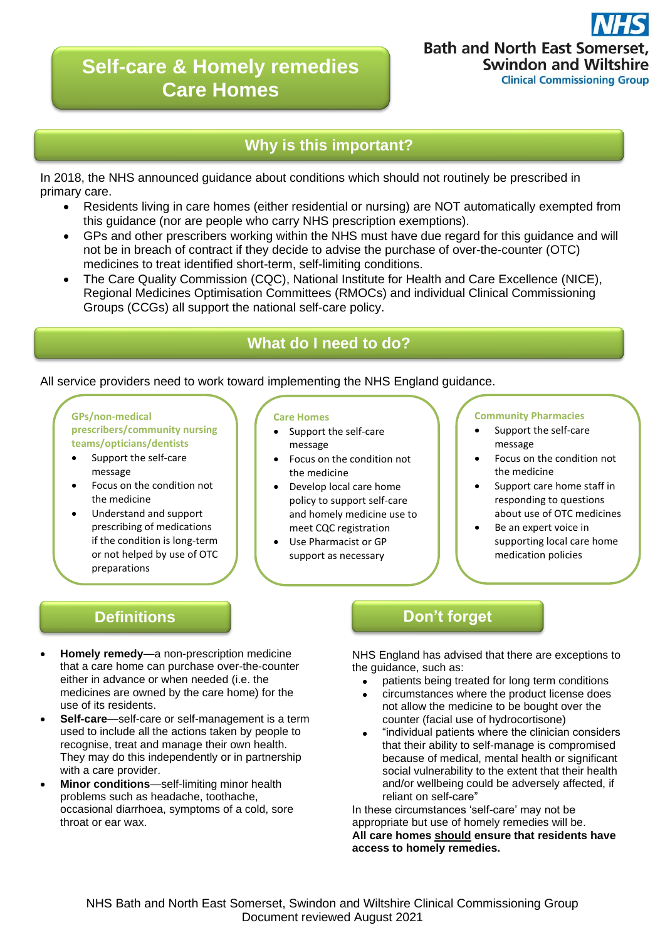# **Self-care & Homely remedies Care Homes**

## **Why is this important?**

In 2018, the NHS announced guidance about conditions which should not routinely be prescribed in primary care.

- Residents living in care homes (either residential or nursing) are NOT automatically exempted from this guidance (nor are people who carry NHS prescription exemptions).
- GPs and other prescribers working within the NHS must have due regard for this guidance and will not be in breach of contract if they decide to advise the purchase of over-the-counter (OTC) medicines to treat identified short-term, self-limiting conditions.
- The Care Quality Commission (CQC), National Institute for Health and Care Excellence (NICE), Regional Medicines Optimisation Committees (RMOCs) and individual Clinical Commissioning Groups (CCGs) all support the national self-care policy.

## **What do I need to do?**

### All service providers need to work toward implementing the NHS England guidance.

**GPs/non-medical prescribers/community nursing teams/opticians/dentists**

- Support the self-care message
- Focus on the condition not the medicine
- Understand and support prescribing of medications if the condition is long-term or not helped by use of OTC preparations

#### **Care Homes**

- Support the self-care message
- Focus on the condition not the medicine
- Develop local care home policy to support self-care and homely medicine use to meet CQC registration
	- Use Pharmacist or GP support as necessary

#### **Community Pharmacies**

- Support the self-care message
- Focus on the condition not the medicine
- Support care home staff in responding to questions about use of OTC medicines
- Be an expert voice in supporting local care home medication policies

- **Homely remedy**—a non-prescription medicine that a care home can purchase over-the-counter either in advance or when needed (i.e. the medicines are owned by the care home) for the use of its residents.
- **Self-care**—self-care or self-management is a term used to include all the actions taken by people to recognise, treat and manage their own health. They may do this independently or in partnership with a care provider.
- **Minor conditions**—self-limiting minor health problems such as headache, toothache, occasional diarrhoea, symptoms of a cold, sore throat or ear wax.

## **Definitions and Don't forget**

NHS England has advised that there are exceptions to the quidance, such as:

- patients being treated for long term conditions
- circumstances where the product license does not allow the medicine to be bought over the counter (facial use of hydrocortisone)
- "individual patients where the clinician considers that their ability to self-manage is compromised because of medical, mental health or significant social vulnerability to the extent that their health and/or wellbeing could be adversely affected, if reliant on self-care"

In these circumstances 'self-care' may not be appropriate but use of homely remedies will be. **All care homes should ensure that residents have access to homely remedies.**